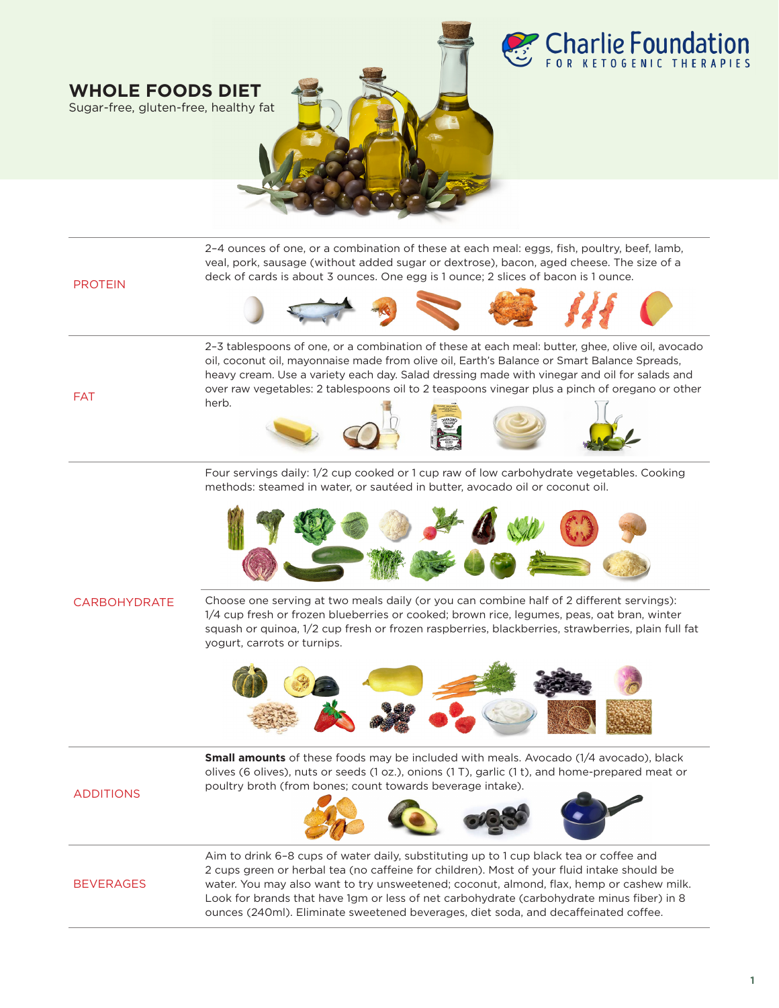

**WHOLE FOODS DIET** Sugar-free, gluten-free, healthy fat

PROTEIN 2–4 ounces of one, or a combination of these at each meal: eggs, fish, poultry, beef, lamb, veal, pork, sausage (without added sugar or dextrose), bacon, aged cheese. The size of a deck of cards is about 3 ounces. One egg is 1 ounce; 2 slices of bacon is 1 ounce. FAT 2–3 tablespoons of one, or a combination of these at each meal: butter, ghee, olive oil, avocado oil, coconut oil, mayonnaise made from olive oil, Earth's Balance or Smart Balance Spreads, heavy cream. Use a variety each day. Salad dressing made with vinegar and oil for salads and over raw vegetables: 2 tablespoons oil to 2 teaspoons vinegar plus a pinch of oregano or other herb.

> Four servings daily: 1/2 cup cooked or 1 cup raw of low carbohydrate vegetables. Cooking methods: steamed in water, or sautéed in butter, avocado oil or coconut oil.



### CARBOHYDRATE

Choose one serving at two meals daily (or you can combine half of 2 different servings): 1/4 cup fresh or frozen blueberries or cooked; brown rice, legumes, peas, oat bran, winter squash or quinoa, 1/2 cup fresh or frozen raspberries, blackberries, strawberries, plain full fat yogurt, carrots or turnips.



ounces (240ml). Eliminate sweetened beverages, diet soda, and decaffeinated coffee.

ADDITIONS **Small amounts** of these foods may be included with meals. Avocado (1/4 avocado), black olives (6 olives), nuts or seeds (1 oz.), onions (1 T), garlic (1 t), and home-prepared meat or poultry broth (from bones; count towards beverage intake). BEVERAGES Aim to drink 6–8 cups of water daily, substituting up to 1 cup black tea or coffee and 2 cups green or herbal tea (no caffeine for children). Most of your fluid intake should be water. You may also want to try unsweetened; coconut, almond, flax, hemp or cashew milk. Look for brands that have 1gm or less of net carbohydrate (carbohydrate minus fiber) in 8

#### **1**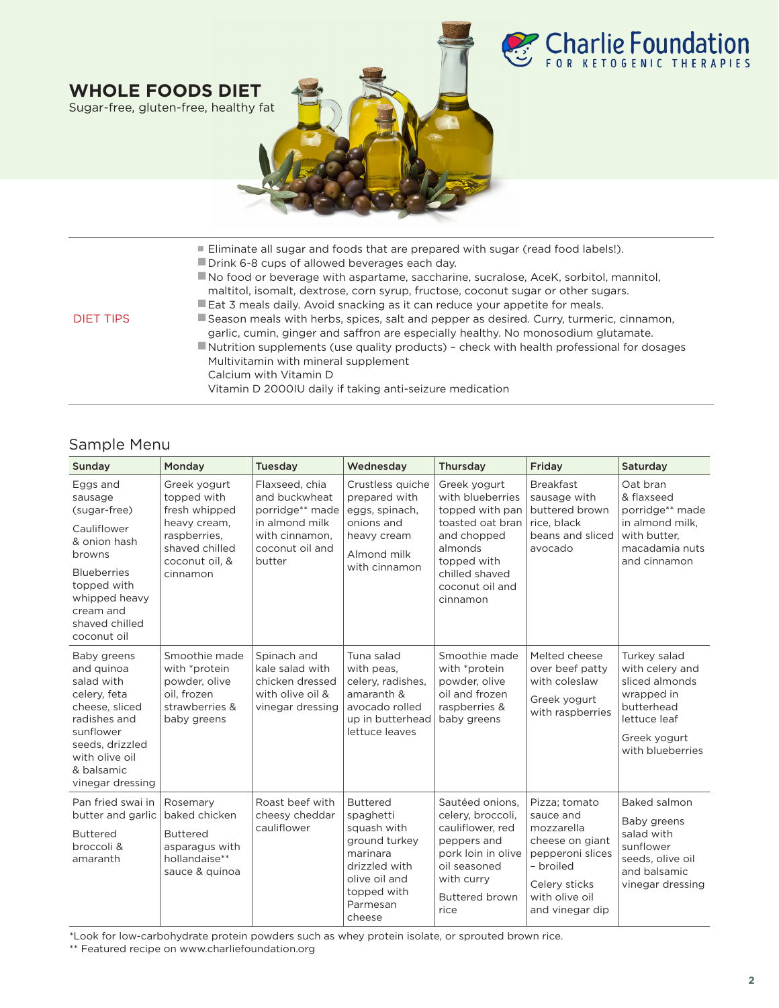

|           | ■ Eliminate all sugar and foods that are prepared with sugar (read food labels!).                                                                                             |
|-----------|-------------------------------------------------------------------------------------------------------------------------------------------------------------------------------|
|           | Drink 6-8 cups of allowed beverages each day.                                                                                                                                 |
|           | No food or beverage with aspartame, saccharine, sucralose, AceK, sorbitol, mannitol,<br>maltitol, isomalt, dextrose, corn syrup, fructose, coconut sugar or other sugars.     |
|           | Eat 3 meals daily. Avoid snacking as it can reduce your appetite for meals.                                                                                                   |
| DIFT TIPS | Season meals with herbs, spices, salt and pepper as desired. Curry, turmeric, cinnamon,<br>garlic, cumin, ginger and saffron are especially healthy. No monosodium glutamate. |
|           | Nutrition supplements (use quality products) - check with health professional for dosages                                                                                     |
|           | Multivitamin with mineral supplement                                                                                                                                          |
|           | Calcium with Vitamin D                                                                                                                                                        |
|           | Vitamin D 2000IU daily if taking anti-seizure medication                                                                                                                      |
|           |                                                                                                                                                                               |

# Sample Menu

**WHOLE FOODS DIET** Sugar-free, gluten-free, healthy fat

| Sunday                                                                                                                                                                           | Monday                                                                                                                       | <b>Tuesday</b>                                                                                                                  | Wednesday                                                                                                                                       | Thursday                                                                                                                                                          | Friday                                                                                                                                             | Saturday                                                                                                                          |
|----------------------------------------------------------------------------------------------------------------------------------------------------------------------------------|------------------------------------------------------------------------------------------------------------------------------|---------------------------------------------------------------------------------------------------------------------------------|-------------------------------------------------------------------------------------------------------------------------------------------------|-------------------------------------------------------------------------------------------------------------------------------------------------------------------|----------------------------------------------------------------------------------------------------------------------------------------------------|-----------------------------------------------------------------------------------------------------------------------------------|
| Eggs and<br>sausage<br>(sugar-free)<br>Cauliflower<br>& onion hash<br>browns<br><b>Blueberries</b><br>topped with<br>whipped heavy<br>cream and<br>shaved chilled<br>coconut oil | Greek yogurt<br>topped with<br>fresh whipped<br>heavy cream,<br>raspberries.<br>shaved chilled<br>coconut oil, &<br>cinnamon | Flaxseed, chia<br>and buckwheat<br>porridge <sup>**</sup> made<br>in almond milk<br>with cinnamon.<br>coconut oil and<br>butter | Crustless quiche<br>prepared with<br>eggs, spinach,<br>onions and<br>heavy cream<br>Almond milk<br>with cinnamon                                | Greek yogurt<br>with blueberries<br>topped with pan<br>toasted oat bran<br>and chopped<br>almonds<br>topped with<br>chilled shaved<br>coconut oil and<br>cinnamon | <b>Breakfast</b><br>sausage with<br>buttered brown<br>rice, black<br>beans and sliced<br>avocado                                                   | Oat bran<br>& flaxseed<br>porridge** made<br>in almond milk.<br>with butter,<br>macadamia nuts<br>and cinnamon                    |
| Baby greens<br>and quinoa<br>salad with<br>celery, feta<br>cheese, sliced<br>radishes and<br>sunflower<br>seeds, drizzled<br>with olive oil<br>& balsamic<br>vinegar dressing    | Smoothie made<br>with *protein<br>powder, olive<br>oil. frozen<br>strawberries &<br>baby greens                              | Spinach and<br>kale salad with<br>chicken dressed<br>with olive oil &<br>vinegar dressing                                       | Tuna salad<br>with peas,<br>celery, radishes,<br>amaranth &<br>avocado rolled<br>up in butterhead<br>lettuce leaves                             | Smoothie made<br>with *protein<br>powder, olive<br>oil and frozen<br>raspberries &<br>baby greens                                                                 | Melted cheese<br>over beef patty<br>with coleslaw<br>Greek yogurt<br>with raspberries                                                              | Turkey salad<br>with celery and<br>sliced almonds<br>wrapped in<br>butterhead<br>lettuce leaf<br>Greek yogurt<br>with blueberries |
| Pan fried swai in<br>butter and garlic<br><b>Buttered</b><br>broccoli &<br>amaranth                                                                                              | Rosemary<br>baked chicken<br><b>Buttered</b><br>asparagus with<br>hollandaise**<br>sauce & quinoa                            | Roast beef with<br>cheesy cheddar<br>cauliflower                                                                                | <b>Buttered</b><br>spaghetti<br>squash with<br>ground turkey<br>marinara<br>drizzled with<br>olive oil and<br>topped with<br>Parmesan<br>cheese | Sautéed onions.<br>celery, broccoli,<br>cauliflower, red<br>peppers and<br>pork loin in olive<br>oil seasoned<br>with curry<br><b>Buttered brown</b><br>rice      | Pizza; tomato<br>sauce and<br>mozzarella<br>cheese on giant<br>pepperoni slices<br>- broiled<br>Celery sticks<br>with olive oil<br>and vinegar dip | Baked salmon<br>Baby greens<br>salad with<br>sunflower<br>seeds, olive oil<br>and balsamic<br>vinegar dressing                    |

\*Look for low-carbohydrate protein powders such as whey protein isolate, or sprouted brown rice.

\*\* Featured recipe on www.charliefoundation.org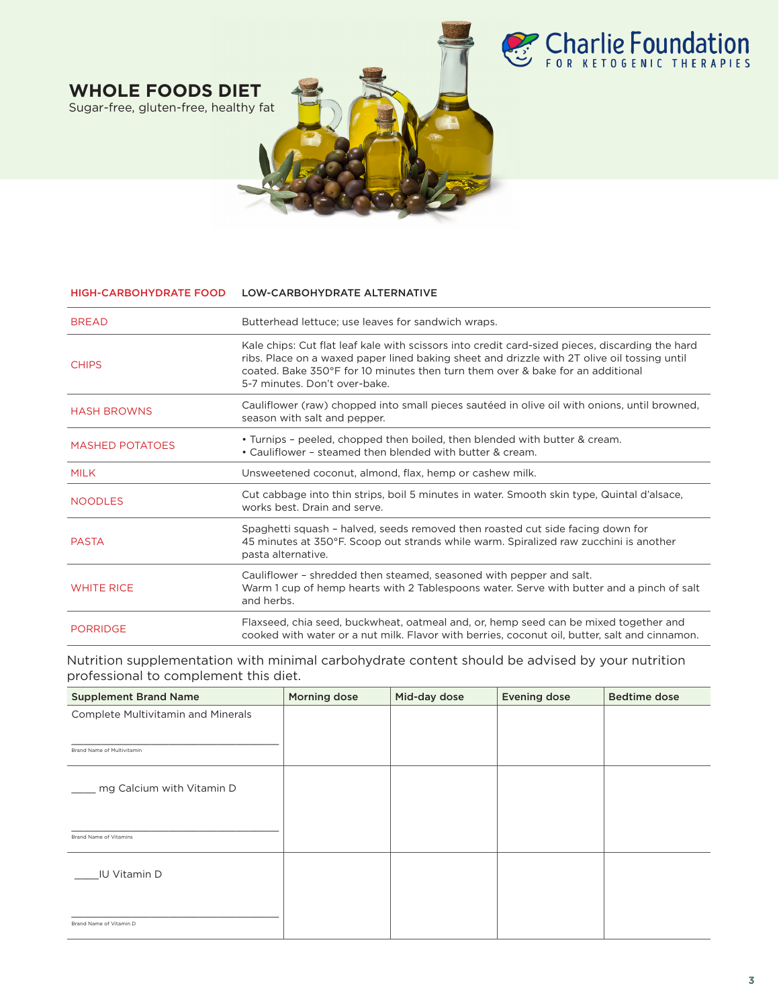

**WHOLE FOODS DIET** Sugar-free, gluten-free, healthy fat

#### HIGH-CARBOHYDRATE FOOD LOW-CARBOHYDRATE ALTERNATIVE

| <b>BREAD</b>           | Butterhead lettuce; use leaves for sandwich wraps.                                                                                                                                                                                                                                                                |
|------------------------|-------------------------------------------------------------------------------------------------------------------------------------------------------------------------------------------------------------------------------------------------------------------------------------------------------------------|
| <b>CHIPS</b>           | Kale chips: Cut flat leaf kale with scissors into credit card-sized pieces, discarding the hard<br>ribs. Place on a waxed paper lined baking sheet and drizzle with 2T olive oil tossing until<br>coated. Bake 350°F for 10 minutes then turn them over & bake for an additional<br>5-7 minutes. Don't over-bake. |
| <b>HASH BROWNS</b>     | Cauliflower (raw) chopped into small pieces sautéed in olive oil with onions, until browned,<br>season with salt and pepper.                                                                                                                                                                                      |
| <b>MASHED POTATOES</b> | • Turnips - peeled, chopped then boiled, then blended with butter & cream.<br>• Cauliflower - steamed then blended with butter & cream.                                                                                                                                                                           |
| <b>MILK</b>            | Unsweetened coconut, almond, flax, hemp or cashew milk.                                                                                                                                                                                                                                                           |
| <b>NOODLES</b>         | Cut cabbage into thin strips, boil 5 minutes in water. Smooth skin type, Quintal d'alsace,<br>works best. Drain and serve.                                                                                                                                                                                        |
| <b>PASTA</b>           | Spaghetti squash - halved, seeds removed then roasted cut side facing down for<br>45 minutes at 350°F. Scoop out strands while warm. Spiralized raw zucchini is another<br>pasta alternative.                                                                                                                     |
| <b>WHITE RICE</b>      | Cauliflower - shredded then steamed, seasoned with pepper and salt.<br>Warm 1 cup of hemp hearts with 2 Tablespoons water. Serve with butter and a pinch of salt<br>and herbs.                                                                                                                                    |
| <b>PORRIDGE</b>        | Flaxseed, chia seed, buckwheat, oatmeal and, or, hemp seed can be mixed together and<br>cooked with water or a nut milk. Flavor with berries, coconut oil, butter, salt and cinnamon.                                                                                                                             |

Nutrition supplementation with minimal carbohydrate content should be advised by your nutrition professional to complement this diet.

| <b>Supplement Brand Name</b>       | Morning dose | Mid-day dose | <b>Evening dose</b> | <b>Bedtime dose</b> |
|------------------------------------|--------------|--------------|---------------------|---------------------|
| Complete Multivitamin and Minerals |              |              |                     |                     |
| Brand Name of Multivitamin         |              |              |                     |                     |
|                                    |              |              |                     |                     |
| mg Calcium with Vitamin D          |              |              |                     |                     |
|                                    |              |              |                     |                     |
| Brand Name of Vitamins             |              |              |                     |                     |
| <b>IU Vitamin D</b>                |              |              |                     |                     |
|                                    |              |              |                     |                     |
| Brand Name of Vitamin D            |              |              |                     |                     |